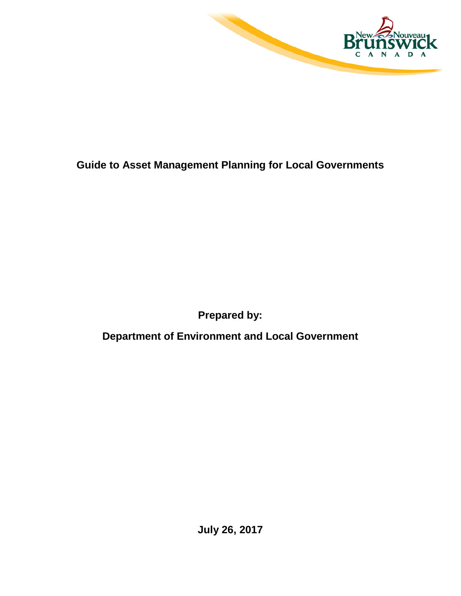

## **Guide to Asset Management Planning for Local Governments**

**Prepared by:**

**Department of Environment and Local Government**

**July 26, 2017**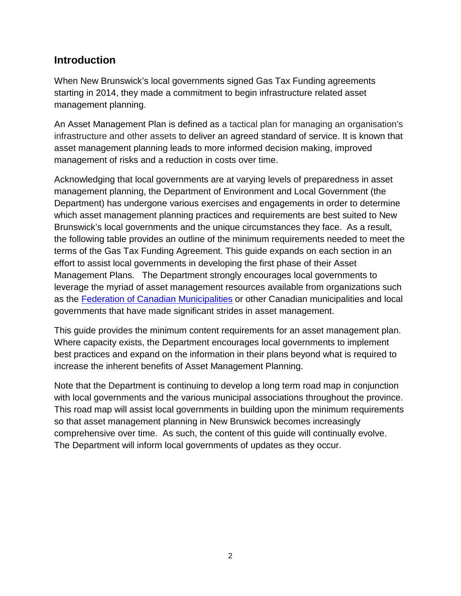### **Introduction**

When New Brunswick's local governments signed Gas Tax Funding agreements starting in 2014, they made a commitment to begin infrastructure related asset management planning.

An Asset Management Plan is defined as a tactical plan for managing an organisation's infrastructure and other assets to deliver an agreed standard of service. It is known that asset management planning leads to more informed decision making, improved management of risks and a reduction in costs over time.

Acknowledging that local governments are at varying levels of preparedness in asset management planning, the Department of Environment and Local Government (the Department) has undergone various exercises and engagements in order to determine which asset management planning practices and requirements are best suited to New Brunswick's local governments and the unique circumstances they face. As a result, the following table provides an outline of the minimum requirements needed to meet the terms of the Gas Tax Funding Agreement. This guide expands on each section in an effort to assist local governments in developing the first phase of their Asset Management Plans. The Department strongly encourages local governments to leverage the myriad of asset management resources available from organizations such as the [Federation of Canadian Municipalities](http://www.fcm.ca/home/programs/municipal-asset-management-program/municipal-asset-management-program.htm) or other Canadian municipalities and local governments that have made significant strides in asset management.

This guide provides the minimum content requirements for an asset management plan. Where capacity exists, the Department encourages local governments to implement best practices and expand on the information in their plans beyond what is required to increase the inherent benefits of Asset Management Planning.

Note that the Department is continuing to develop a long term road map in conjunction with local governments and the various municipal associations throughout the province. This road map will assist local governments in building upon the minimum requirements so that asset management planning in New Brunswick becomes increasingly comprehensive over time. As such, the content of this guide will continually evolve. The Department will inform local governments of updates as they occur.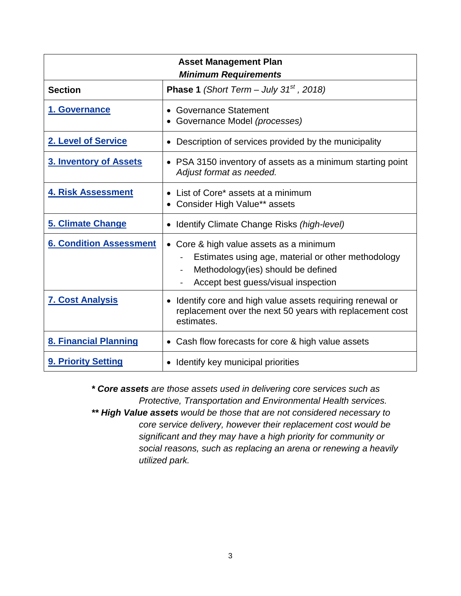<span id="page-2-0"></span>

| <b>Asset Management Plan</b><br><b>Minimum Requirements</b> |                                                                                                                                                                            |  |  |  |  |
|-------------------------------------------------------------|----------------------------------------------------------------------------------------------------------------------------------------------------------------------------|--|--|--|--|
| <b>Section</b>                                              | <b>Phase 1</b> (Short Term – July 31 <sup>st</sup> , 2018)                                                                                                                 |  |  |  |  |
| 1. Governance                                               | • Governance Statement<br>• Governance Model (processes)                                                                                                                   |  |  |  |  |
| 2. Level of Service                                         | • Description of services provided by the municipality                                                                                                                     |  |  |  |  |
| 3. Inventory of Assets                                      | • PSA 3150 inventory of assets as a minimum starting point<br>Adjust format as needed.                                                                                     |  |  |  |  |
| <b>4. Risk Assessment</b>                                   | • List of Core* assets at a minimum<br>• Consider High Value** assets                                                                                                      |  |  |  |  |
| 5. Climate Change                                           | • Identify Climate Change Risks (high-level)                                                                                                                               |  |  |  |  |
| <b>6. Condition Assessment</b>                              | • Core & high value assets as a minimum<br>Estimates using age, material or other methodology<br>Methodology(ies) should be defined<br>Accept best guess/visual inspection |  |  |  |  |
| <b>7. Cost Analysis</b>                                     | • Identify core and high value assets requiring renewal or<br>replacement over the next 50 years with replacement cost<br>estimates.                                       |  |  |  |  |
| 8. Financial Planning                                       | • Cash flow forecasts for core & high value assets                                                                                                                         |  |  |  |  |
| 9. Priority Setting                                         | • Identify key municipal priorities                                                                                                                                        |  |  |  |  |

*\* Core assets are those assets used in delivering core services such as Protective, Transportation and Environmental Health services.*

*\*\* High Value assets would be those that are not considered necessary to core service delivery, however their replacement cost would be significant and they may have a high priority for community or social reasons, such as replacing an arena or renewing a heavily utilized park.*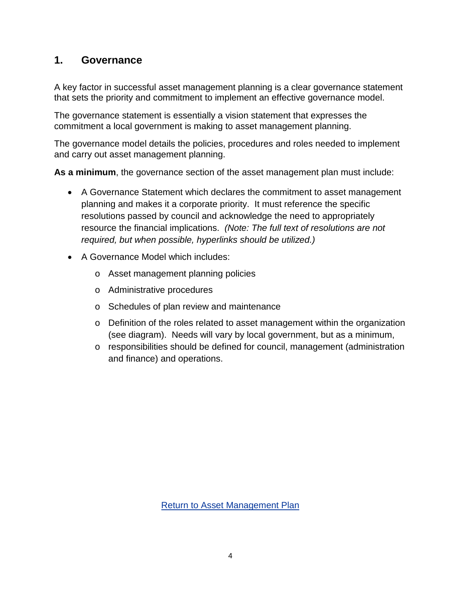## <span id="page-3-0"></span>**1. Governance**

A key factor in successful asset management planning is a clear governance statement that sets the priority and commitment to implement an effective governance model.

The governance statement is essentially a vision statement that expresses the commitment a local government is making to asset management planning.

The governance model details the policies, procedures and roles needed to implement and carry out asset management planning.

**As a minimum**, the governance section of the asset management plan must include:

- A Governance Statement which declares the commitment to asset management planning and makes it a corporate priority. It must reference the specific resolutions passed by council and acknowledge the need to appropriately resource the financial implications. *(Note: The full text of resolutions are not required, but when possible, hyperlinks should be utilized.)*
- A Governance Model which includes:
	- o Asset management planning policies
	- o Administrative procedures
	- o Schedules of plan review and maintenance
	- $\circ$  Definition of the roles related to asset management within the organization (see diagram). Needs will vary by local government, but as a minimum,
	- o responsibilities should be defined for council, management (administration and finance) and operations.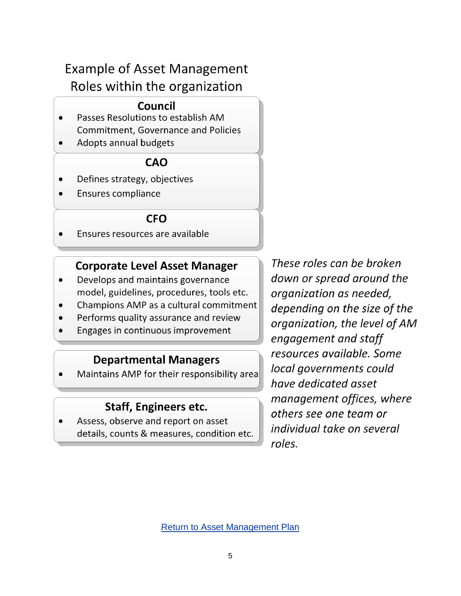# **Example of Asset Management** Roles within the organization

## Council

- Passes Resolutions to establish AM  $\bullet$ **Commitment, Governance and Policies**
- Adopts annual budgets

## **CAO**

- Defines strategy, objectives  $\bullet$
- Ensures compliance

## **CFO**

Ensures resources are available  $\bullet$ 

## **Corporate Level Asset Manager**

- Develops and maintains governance model, guidelines, procedures, tools etc.
- Champions AMP as a cultural commitment  $\bullet$
- Performs quality assurance and review
- Engages in continuous improvement

## **Departmental Managers**

Maintains AMP for their responsibility area

## **Staff, Engineers etc.**

Assess, observe and report on asset details, counts & measures, condition etc.

These roles can be broken down or spread around the organization as needed, depending on the size of the organization, the level of AM engagement and staff resources available. Some local governments could have dedicated asset management offices, where others see one team or individual take on several roles.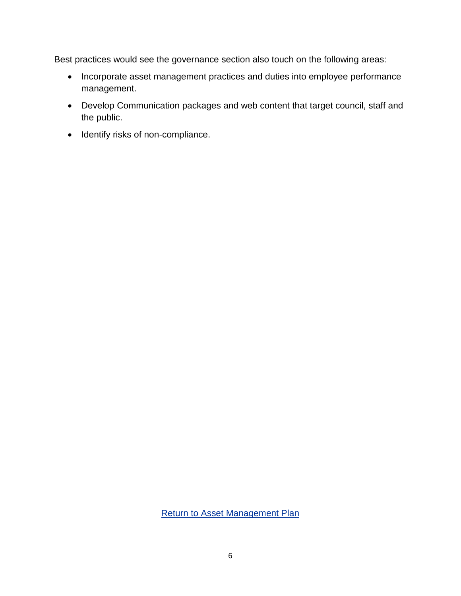Best practices would see the governance section also touch on the following areas:

- Incorporate asset management practices and duties into employee performance management.
- Develop Communication packages and web content that target council, staff and the public.
- Identify risks of non-compliance.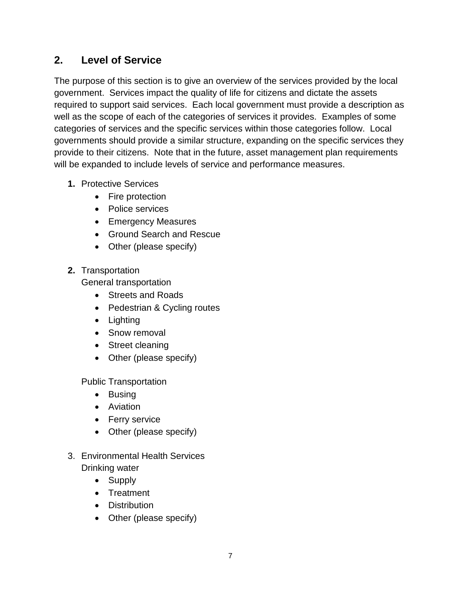### <span id="page-6-0"></span>**2. Level of Service**

The purpose of this section is to give an overview of the services provided by the local government. Services impact the quality of life for citizens and dictate the assets required to support said services. Each local government must provide a description as well as the scope of each of the categories of services it provides. Examples of some categories of services and the specific services within those categories follow. Local governments should provide a similar structure, expanding on the specific services they provide to their citizens. Note that in the future, asset management plan requirements will be expanded to include levels of service and performance measures.

- **1.** Protective Services
	- Fire protection
	- Police services
	- Emergency Measures
	- Ground Search and Rescue
	- Other (please specify)
- **2.** Transportation

General transportation

- Streets and Roads
- Pedestrian & Cycling routes
- Lighting
- Snow removal
- Street cleaning
- Other (please specify)

Public Transportation

- Busing
- Aviation
- Ferry service
- Other (please specify)
- 3. Environmental Health Services Drinking water
	- Supply
	- Treatment
	- Distribution
	- Other (please specify)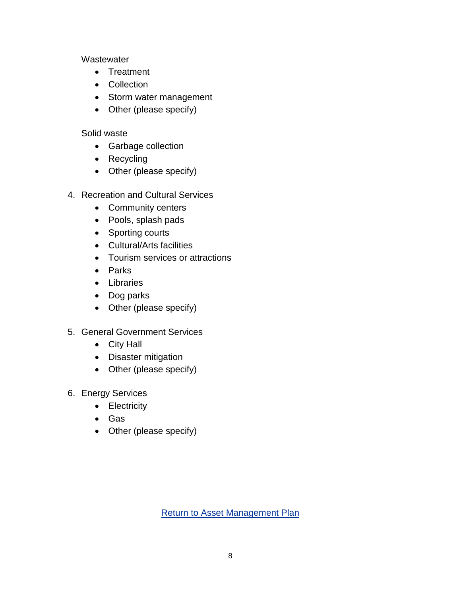#### **Wastewater**

- Treatment
- Collection
- Storm water management
- Other (please specify)

### Solid waste

- Garbage collection
- Recycling
- Other (please specify)
- 4. Recreation and Cultural Services
	- Community centers
	- Pools, splash pads
	- Sporting courts
	- Cultural/Arts facilities
	- Tourism services or attractions
	- Parks
	- Libraries
	- Dog parks
	- Other (please specify)
- 5. General Government Services
	- City Hall
	- Disaster mitigation
	- Other (please specify)
- 6. Energy Services
	- Electricity
	- Gas
	- Other (please specify)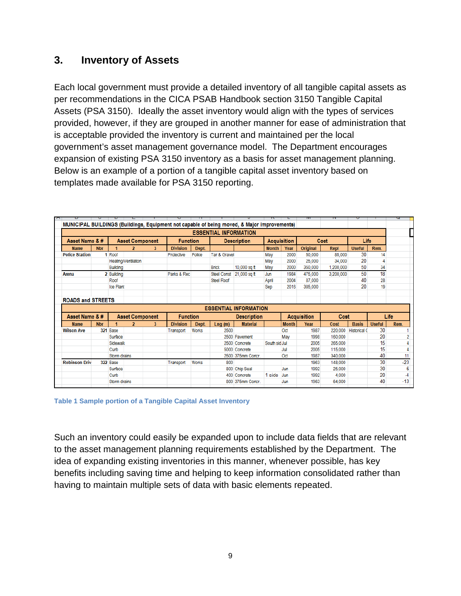## <span id="page-8-0"></span>**3. Inventory of Assets**

Each local government must provide a detailed inventory of all tangible capital assets as per recommendations in the CICA PSAB Handbook section 3150 Tangible Capital Assets (PSA 3150). Ideally the asset inventory would align with the types of services provided, however, if they are grouped in another manner for ease of administration that is acceptable provided the inventory is current and maintained per the local government's asset management governance model. The Department encourages expansion of existing PSA 3150 inventory as a basis for asset management planning. Below is an example of a portion of a tangible capital asset inventory based on templates made available for PSA 3150 reporting.

|                          |            |                 |                        |   |                 |                                                                                             |                              |                              |                    |              |                    | 14        | c                   |               | u              |
|--------------------------|------------|-----------------|------------------------|---|-----------------|---------------------------------------------------------------------------------------------|------------------------------|------------------------------|--------------------|--------------|--------------------|-----------|---------------------|---------------|----------------|
|                          |            |                 |                        |   |                 | MUNICIPAL BUILDINGS (Buildings, Equipment not capable of being moved, & Major improvements) |                              |                              |                    |              |                    |           |                     |               |                |
|                          |            |                 |                        |   |                 |                                                                                             | <b>ESSENTIAL INFORMATION</b> |                              |                    |              |                    |           |                     |               |                |
| Asset Name & #           |            |                 | <b>Asset Component</b> |   | <b>Function</b> |                                                                                             |                              | <b>Description</b>           | <b>Acquisition</b> |              |                    | Cost      | Life                |               |                |
| <b>Name</b>              | <b>Nbr</b> |                 | $\overline{2}$         | 3 | <b>Division</b> | Dept.                                                                                       |                              |                              | <b>Month</b>       | Year         | Original           | Repl      | <b>Useful</b>       | Rem.          |                |
| <b>Police Station</b>    |            | 1 Roof          |                        |   | Protective      | Police                                                                                      | Tar & Gravel                 |                              | May                | 2000         | 50.000             | 85,000    | 30                  | 14            |                |
|                          |            |                 | Heating/Ventilation    |   |                 |                                                                                             |                              |                              | May                | 2000         | 25,000             | 34,000    | 20                  | 4             |                |
|                          |            | <b>Building</b> |                        |   |                 |                                                                                             | <b>Brick</b>                 | 10,000 sq ft                 | May                | 2000         | 350,000            | 1,200,000 | 50                  | 34            |                |
| <b>Arena</b>             |            | 2 Building      |                        |   | Parks & Rec     |                                                                                             | <b>Steel Const</b>           | 21,000 sq ft                 | Jun                | 1984         | 475,000            | 3,200,000 | 50                  | 18            |                |
|                          |            | Roof            |                        |   |                 |                                                                                             | <b>Steel Roof</b>            |                              | April              | 2004         | 87,000             |           | 40                  | 28            |                |
|                          |            | Ice Plant       |                        |   |                 |                                                                                             |                              |                              | Sep                | 2016         | 385,000            |           | 20                  | 19            |                |
|                          |            |                 |                        |   |                 |                                                                                             |                              |                              |                    |              |                    |           |                     |               |                |
| <b>ROADS and STREETS</b> |            |                 |                        |   |                 |                                                                                             |                              |                              |                    |              |                    |           |                     |               |                |
|                          |            |                 |                        |   |                 |                                                                                             |                              | <b>ESSENTIAL INFORMATION</b> |                    |              |                    |           |                     |               |                |
| Asset Name & #           |            |                 | <b>Asset Component</b> |   | <b>Function</b> |                                                                                             |                              | <b>Description</b>           |                    |              | <b>Acquisition</b> | Cost      |                     |               | Life           |
| <b>Name</b>              | <b>Nbr</b> |                 | 2                      | 3 | <b>Division</b> | Dept.                                                                                       | Lng(m)                       | <b>Material</b>              |                    | <b>Month</b> | Year               | Cost      | <b>Basis</b>        | <b>Useful</b> | Rem.           |
| <b>Wilson Ave</b>        |            | 321 Base        |                        |   | Transport       | <b>Works</b>                                                                                | 2500                         |                              |                    | Oct          | 1987               | 220,000   | <b>Historical C</b> | 30            |                |
|                          |            | Surface         |                        |   |                 |                                                                                             |                              | 2500 Pavement                |                    | May          | 1998               | 160,000   |                     | 20            | $\overline{2}$ |
|                          |            | Sidewalk        |                        |   |                 |                                                                                             |                              | 2500 Concrete                | South sid Jul      |              | 2005               | 265,000   |                     | 15            | 4              |
|                          |            | Curb            |                        |   |                 |                                                                                             |                              | 5000 Concrete                |                    | Jul          | 2005               | 115,000   |                     | 15            | 4              |
|                          |            | Storm drains    |                        |   |                 |                                                                                             |                              | 2500 375mm Concr.            |                    | Oct          | 1987               | 340,000   |                     | 40            | 11             |
| <b>Robinson Driv</b>     |            | 322 Base        |                        |   | Transport       | <b>Works</b>                                                                                | 800                          |                              |                    |              | 1963               | 148,000   |                     | 30            | $-23$          |
|                          |            | Surface         |                        |   |                 |                                                                                             |                              | 800 Chip Seal                |                    | Jun          | 1992               | 25,000    |                     | 30            | 6              |
|                          |            | Curb            |                        |   |                 |                                                                                             |                              | 400 Concrete                 | 1 side             | Jun          | 1992               | 4,000     |                     | 20            | -4             |
|                          |            | Storm drains    |                        |   |                 |                                                                                             |                              | 800 375mm Concr.             |                    | Jun          | 1963               | 64.000    |                     | 40            | $-13$          |
|                          |            |                 |                        |   |                 |                                                                                             |                              |                              |                    |              |                    |           |                     |               |                |

**Table 1 Sample portion of a Tangible Capital Asset Inventory**

Such an inventory could easily be expanded upon to include data fields that are relevant to the asset management planning requirements established by the Department. The idea of expanding existing inventories in this manner, whenever possible, has key benefits including saving time and helping to keep information consolidated rather than having to maintain multiple sets of data with basic elements repeated.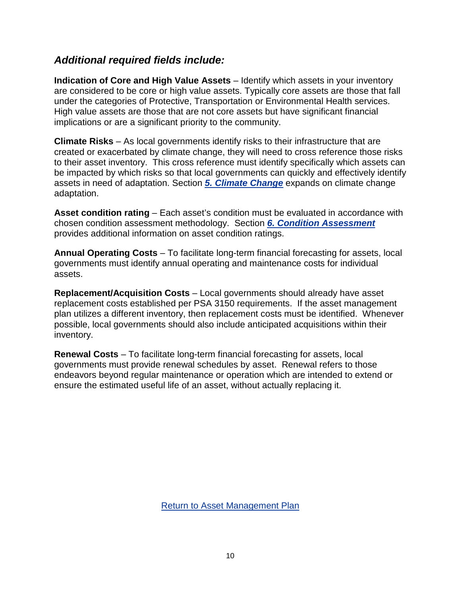### *Additional required fields include:*

**Indication of Core and High Value Assets** – Identify which assets in your inventory are considered to be core or high value assets. Typically core assets are those that fall under the categories of Protective, Transportation or Environmental Health services. High value assets are those that are not core assets but have significant financial implications or are a significant priority to the community.

**Climate Risks** – As local governments identify risks to their infrastructure that are created or exacerbated by climate change, they will need to cross reference those risks to their asset inventory. This cross reference must identify specifically which assets can be impacted by which risks so that local governments can quickly and effectively identify assets in need of adaptation. Section *5. [Climate Change](#page-11-0)* expands on climate change adaptation.

**Asset condition rating** – Each asset's condition must be evaluated in accordance with chosen condition assessment methodology. Section *6. [Condition Assessment](#page-13-0)* provides additional information on asset condition ratings.

**Annual Operating Costs** – To facilitate long-term financial forecasting for assets, local governments must identify annual operating and maintenance costs for individual assets.

**Replacement/Acquisition Costs** – Local governments should already have asset replacement costs established per PSA 3150 requirements. If the asset management plan utilizes a different inventory, then replacement costs must be identified. Whenever possible, local governments should also include anticipated acquisitions within their inventory.

**Renewal Costs** – To facilitate long-term financial forecasting for assets, local governments must provide renewal schedules by asset. Renewal refers to those endeavors beyond regular maintenance or operation which are intended to extend or ensure the estimated useful life of an asset, without actually replacing it.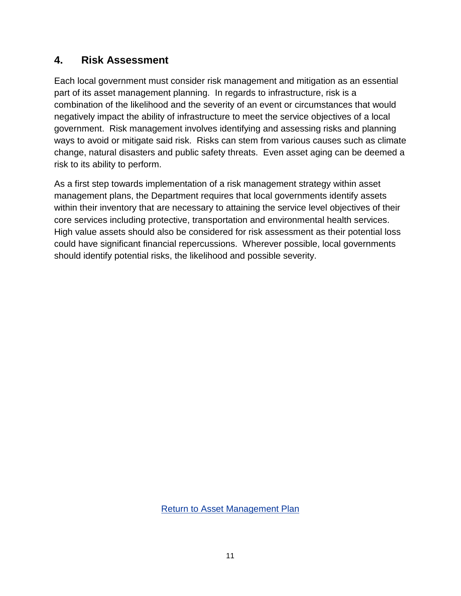## <span id="page-10-0"></span>**4. Risk Assessment**

Each local government must consider risk management and mitigation as an essential part of its asset management planning. In regards to infrastructure, risk is a combination of the likelihood and the severity of an event or circumstances that would negatively impact the ability of infrastructure to meet the service objectives of a local government. Risk management involves identifying and assessing risks and planning ways to avoid or mitigate said risk. Risks can stem from various causes such as climate change, natural disasters and public safety threats. Even asset aging can be deemed a risk to its ability to perform.

As a first step towards implementation of a risk management strategy within asset management plans, the Department requires that local governments identify assets within their inventory that are necessary to attaining the service level objectives of their core services including protective, transportation and environmental health services. High value assets should also be considered for risk assessment as their potential loss could have significant financial repercussions. Wherever possible, local governments should identify potential risks, the likelihood and possible severity.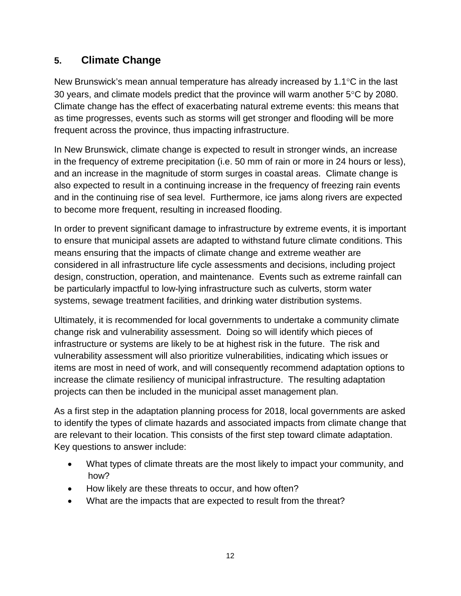## <span id="page-11-0"></span>**5. Climate Change**

New Brunswick's mean annual temperature has already increased by 1.1°C in the last 30 years, and climate models predict that the province will warm another 5°C by 2080. Climate change has the effect of exacerbating natural extreme events: this means that as time progresses, events such as storms will get stronger and flooding will be more frequent across the province, thus impacting infrastructure.

In New Brunswick, climate change is expected to result in stronger winds, an increase in the frequency of extreme precipitation (i.e. 50 mm of rain or more in 24 hours or less), and an increase in the magnitude of storm surges in coastal areas. Climate change is also expected to result in a continuing increase in the frequency of freezing rain events and in the continuing rise of sea level. Furthermore, ice jams along rivers are expected to become more frequent, resulting in increased flooding.

In order to prevent significant damage to infrastructure by extreme events, it is important to ensure that municipal assets are adapted to withstand future climate conditions. This means ensuring that the impacts of climate change and extreme weather are considered in all infrastructure life cycle assessments and decisions, including project design, construction, operation, and maintenance. Events such as extreme rainfall can be particularly impactful to low-lying infrastructure such as culverts, storm water systems, sewage treatment facilities, and drinking water distribution systems.

Ultimately, it is recommended for local governments to undertake a community climate change risk and vulnerability assessment. Doing so will identify which pieces of infrastructure or systems are likely to be at highest risk in the future. The risk and vulnerability assessment will also prioritize vulnerabilities, indicating which issues or items are most in need of work, and will consequently recommend adaptation options to increase the climate resiliency of municipal infrastructure. The resulting adaptation projects can then be included in the municipal asset management plan.

As a first step in the adaptation planning process for 2018, local governments are asked to identify the types of climate hazards and associated impacts from climate change that are relevant to their location. This consists of the first step toward climate adaptation. Key questions to answer include:

- What types of climate threats are the most likely to impact your community, and how?
- How likely are these threats to occur, and how often?
- What are the impacts that are expected to result from the threat?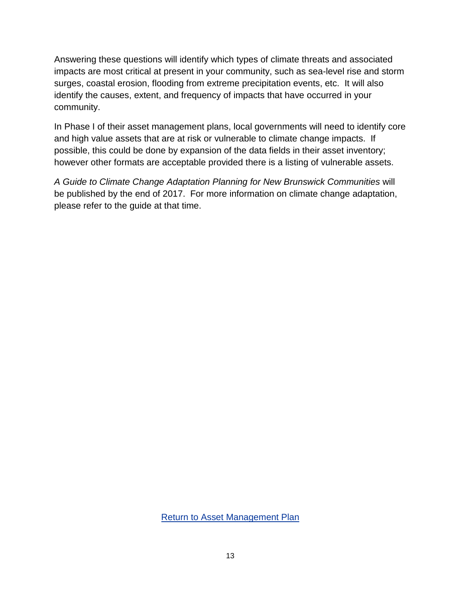Answering these questions will identify which types of climate threats and associated impacts are most critical at present in your community, such as sea-level rise and storm surges, coastal erosion, flooding from extreme precipitation events, etc. It will also identify the causes, extent, and frequency of impacts that have occurred in your community.

In Phase I of their asset management plans, local governments will need to identify core and high value assets that are at risk or vulnerable to climate change impacts. If possible, this could be done by expansion of the data fields in their asset inventory; however other formats are acceptable provided there is a listing of vulnerable assets.

*A Guide to Climate Change Adaptation Planning for New Brunswick Communities* will be published by the end of 2017. For more information on climate change adaptation, please refer to the guide at that time.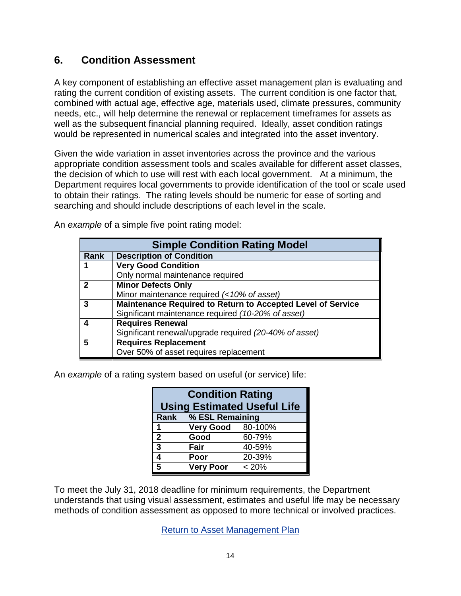### <span id="page-13-0"></span>**6. Condition Assessment**

A key component of establishing an effective asset management plan is evaluating and rating the current condition of existing assets. The current condition is one factor that, combined with actual age, effective age, materials used, climate pressures, community needs, etc., will help determine the renewal or replacement timeframes for assets as well as the subsequent financial planning required. Ideally, asset condition ratings would be represented in numerical scales and integrated into the asset inventory.

Given the wide variation in asset inventories across the province and the various appropriate condition assessment tools and scales available for different asset classes, the decision of which to use will rest with each local government. At a minimum, the Department requires local governments to provide identification of the tool or scale used to obtain their ratings. The rating levels should be numeric for ease of sorting and searching and should include descriptions of each level in the scale.

An *example* of a simple five point rating model:

| <b>Simple Condition Rating Model</b> |                                                             |  |  |  |
|--------------------------------------|-------------------------------------------------------------|--|--|--|
| Rank                                 | <b>Description of Condition</b>                             |  |  |  |
|                                      | <b>Very Good Condition</b>                                  |  |  |  |
|                                      | Only normal maintenance required                            |  |  |  |
| $\mathbf{z}$                         | <b>Minor Defects Only</b>                                   |  |  |  |
|                                      | Minor maintenance required (<10% of asset)                  |  |  |  |
| 3                                    | Maintenance Required to Return to Accepted Level of Service |  |  |  |
|                                      | Significant maintenance required (10-20% of asset)          |  |  |  |
|                                      | <b>Requires Renewal</b>                                     |  |  |  |
|                                      | Significant renewal/upgrade required (20-40% of asset)      |  |  |  |
| 5                                    | <b>Requires Replacement</b>                                 |  |  |  |
|                                      | Over 50% of asset requires replacement                      |  |  |  |

An *example* of a rating system based on useful (or service) life:

| <b>Condition Rating</b><br><b>Using Estimated Useful Life</b> |                          |        |  |  |  |  |
|---------------------------------------------------------------|--------------------------|--------|--|--|--|--|
| <b>Rank</b>                                                   | % ESL Remaining          |        |  |  |  |  |
|                                                               | <b>Very Good</b> 80-100% |        |  |  |  |  |
| $\mathbf{2}$                                                  | Good                     | 60-79% |  |  |  |  |
| 3                                                             | Fair                     | 40-59% |  |  |  |  |
| 4                                                             | Poor                     | 20-39% |  |  |  |  |
| 5                                                             | <b>Very Poor</b>         | < 20%  |  |  |  |  |

To meet the July 31, 2018 deadline for minimum requirements, the Department understands that using visual assessment, estimates and useful life may be necessary methods of condition assessment as opposed to more technical or involved practices.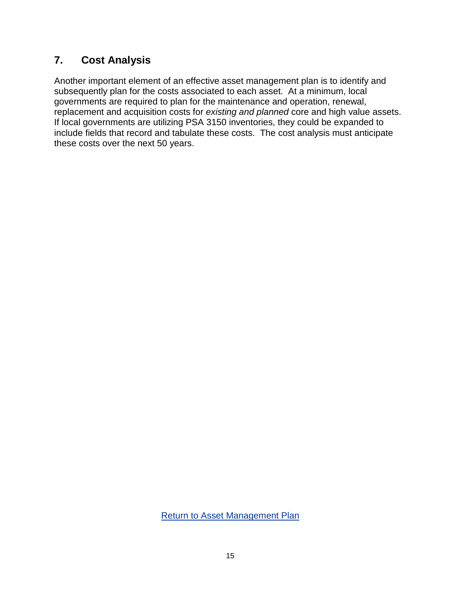## <span id="page-14-0"></span>**7. Cost Analysis**

Another important element of an effective asset management plan is to identify and subsequently plan for the costs associated to each asset. At a minimum, local governments are required to plan for the maintenance and operation, renewal, replacement and acquisition costs for *existing and planned* core and high value assets. If local governments are utilizing PSA 3150 inventories, they could be expanded to include fields that record and tabulate these costs. The cost analysis must anticipate these costs over the next 50 years.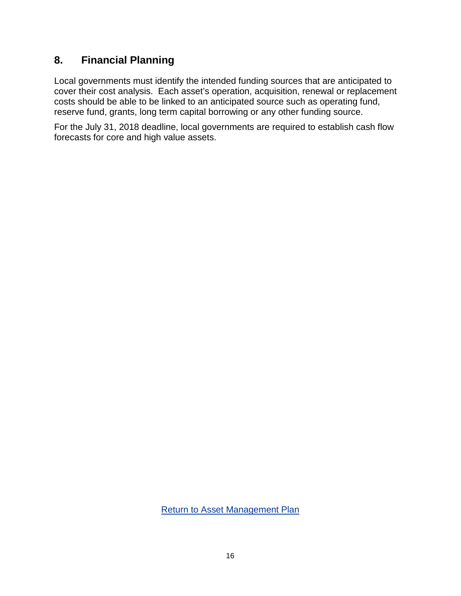### <span id="page-15-0"></span>**8. Financial Planning**

Local governments must identify the intended funding sources that are anticipated to cover their cost analysis. Each asset's operation, acquisition, renewal or replacement costs should be able to be linked to an anticipated source such as operating fund, reserve fund, grants, long term capital borrowing or any other funding source.

For the July 31, 2018 deadline, local governments are required to establish cash flow forecasts for core and high value assets.